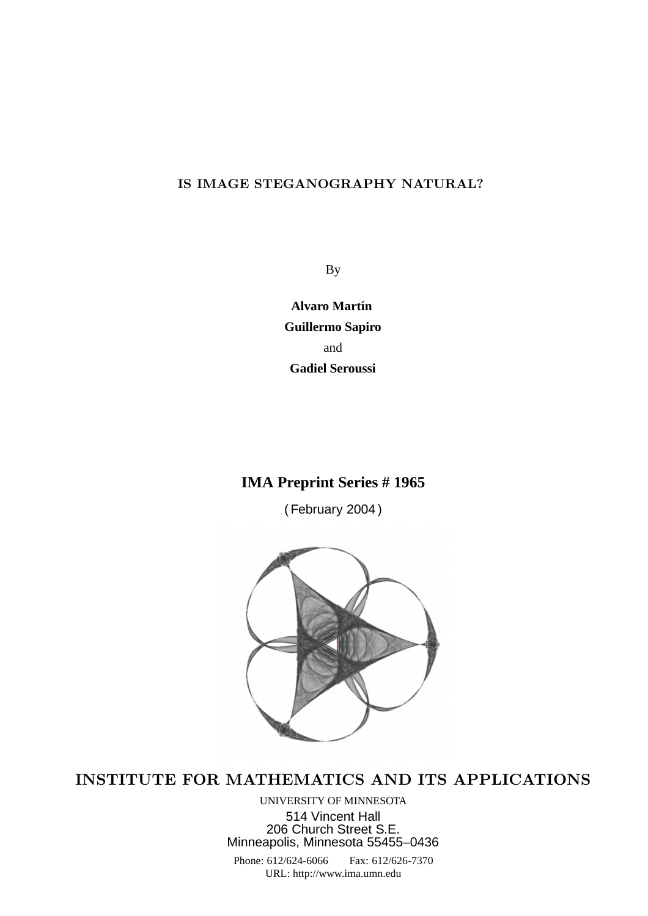# IS IMAGE STEGANOGRAPHY NATURAL?

By

**Alvaro Martín Guillermo Sapiro** and **Gadiel Seroussi**

# **IMA Preprint Series # 1965**

( February 2004 )



INSTITUTE FOR MATHEMATICS AND ITS APPLICATIONS

UNIVERSITY OF MINNESOTA 514 Vincent Hall 206 Church Street S.E. Minneapolis, Minnesota 55455–0436 Phone: 612/624-6066 Fax: 612/626-7370 URL: http://www.ima.umn.edu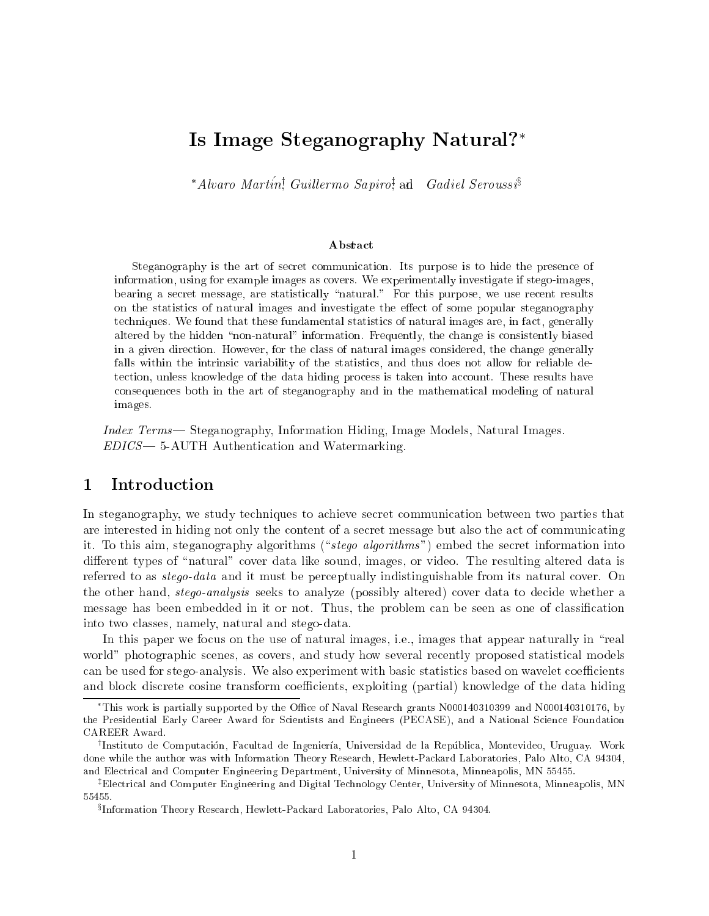# Is Image Steganography Natural?

\* Alvaro Martín! Guillermo Sapiro! and Gadiel Seroussi

### **Abstract**

Steganography is the art of se
ret ommuni
ation. Its purpose is to hide the presen
e of information, using for example images as overs. We experimentally investigate if stego-images, bearing a second contract of the statistics and contract and results purpose, we use of the statistic on the statisti
s of natural images and investigate the ee
t of some popular steganography te
hniques. We found that these fundamental statisti
s of natural images are, in fa
t, generally altered by the hidden \non-natural" information. Frequently, the hange is onsistently biased in <sup>a</sup> given dire
tion. However, for the lass of natural images onsidered, the hange generally falls within the intrinsi variability of the statisti
s, and thus does not allow for reliable determine the data hiding the data hiding process is the data hiding the complete  $\mathcal{L}_\mathbf{r}$ onsequen
es both in the art of steganography and in the mathemati
al modeling of natural images.

Index Terms— Steganography, Information Hiding, Image Models, Natural Images.  $EDICS$  = 5-AUTH Authentication and Watermarking.

# 1 Introduction

In steganography, we study techniques to achieve secret communication between two parties that are interested in hiding not only the content of a secret message but also the act of communicating it. To this aim, steganography algorithms ("stego algorithms") embed the secret information into different types of "natural" cover data like sound, images, or video. The resulting altered data is referred to as *stego-data* and it must be perceptually indistinguishable from its natural cover. On the other hand, *stego-analysis* seeks to analyze (possibly altered) cover data to decide whether a message has been embedded in it or not. Thus, the problem can be seen as one of classification into two lasses, namely, natural and stego-data.

In this paper we focus on the use of natural images, i.e., images that appear naturally in "real world" photographic scenes, as covers, and study how several recently proposed statistical models can be used for stego-analysis. We also experiment with basic statistics based on wavelet coefficients and block discrete cosine transform coefficients, exploiting (partial) knowledge of the data hiding

This work is partially supported by the Office of Naval Research grants N000140310399 and N000140310176, by the Presidential Early Career Award for Scientists and Engineers (PECASE), and a National Science Foundation CAREER Award.

<sup>&#</sup>x27;Instituto de Computación, Facultad de Ingenieria, Universidad de la Republica, Montevideo, Uruguay. Work done while the author was with Information Theory Resear
h, Hewlett-Pa
kard Laboratories, Palo Alto, CA 94304, and Ele
tri
al and Computer Engineering Department, University of Minnesota, Minneapolis, MN 55455.

<sup>z</sup> Ele
tri
al and Computer Engineering and Digital Te
hnology Center, University of Minnesota, Minneapolis, MN 55455.

<sup>x</sup> Information Theory Resear
h, Hewlett-Pa
kard Laboratories, Palo Alto, CA 94304.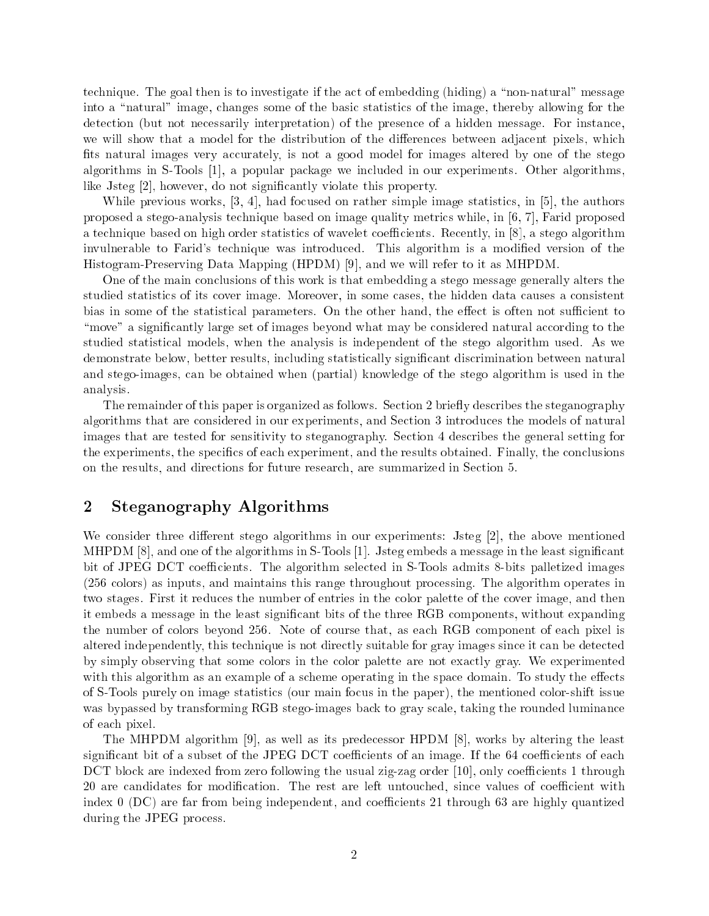technique. The goal then is to investigate if the act of embedding (hiding) a "non-natural" message into a "natural" image, changes some of the basic statistics of the image, thereby allowing for the detection (but not necessarily interpretation) of the presence of a hidden message. For instance, we will show that a model for the distribution of the differences between adjacent pixels, which fits natural images very accurately, is not a good model for images altered by one of the stego algorithms in S-Tools [1], a popular package we included in our experiments. Other algorithms, like Jsteg [2], however, do not significantly violate this property.

While previous works,  $[3, 4]$ , had focused on rather simple image statistics, in  $[5]$ , the authors proposed a stego-analysis technique based on image quality metrics while, in  $[6, 7]$ , Farid proposed a technique based on high order statistics of wavelet coefficients. Recently, in  $[8]$ , a stego algorithm invulnerable to Farid's technique was introduced. This algorithm is a modified version of the Histogram-Preserving Data Mapping  $(HPDM)$  [9], and we will refer to it as MHPDM.

One of the main conclusions of this work is that embedding a stego message generally alters the studied statistics of its cover image. Moreover, in some cases, the hidden data causes a consistent bias in some of the statistical parameters. On the other hand, the effect is often not sufficient to "move" a significantly large set of images beyond what may be considered natural according to the studied statisti
al models, when the analysis is independent of the stego algorithm used. As we demonstrate below, better results, including statistically significant discrimination between natural and stego-images, an be obtained when (partial) knowledge of the stego algorithm is used in the analysis.

The remainder of this paper is organized as follows. Section 2 briefly describes the steganography algorithms that are onsidered in our experiments, and Se
tion 3 introdu
es the models of natural images that are tested for sensitivity to steganography. Section 4 describes the general setting for the experiments, the specifics of each experiment, and the results obtained. Finally, the conclusions on the results, and dire
tions for future resear
h, are summarized in Se
tion 5.

# 2 Steganography Algorithms

We consider three different stego algorithms in our experiments: Jsteg  $[2]$ , the above mentioned MHPDM [8], and one of the algorithms in S-Tools [1]. Jsteg embeds a message in the least significant bit of JPEG DCT coefficients. The algorithm selected in S-Tools admits 8-bits palletized images (256 olors) as inputs, and maintains this range throughout pro
essing. The algorithm operates in two stages. First it reduces the number of entries in the color palette of the cover image, and then it embeds a message in the least significant bits of the three RGB components, without expanding the number of colors beyond 256. Note of course that, as each RGB component of each pixel is altered independently, this technique is not directly suitable for gray images since it can be detected by simply observing that some colors in the color palette are not exactly gray. We experimented with this algorithm as an example of a scheme operating in the space domain. To study the effects of S-Tools purely on image statisti
s (our main fo
us in the paper), the mentioned olor-shift issue was bypassed by transforming RGB stego-images back to gray scale, taking the rounded luminance of ea
h pixel.

The MHPDM algorithm [9], as well as its predecessor HPDM  $[8]$ , works by altering the least significant bit of a subset of the JPEG DCT coefficients of an image. If the 64 coefficients of each DCT block are indexed from zero following the usual zig-zag order [10], only coefficients 1 through 20 are candidates for modification. The rest are left untouched, since values of coefficient with index 0 (DC) are far from being independent, and coefficients 21 through 63 are highly quantized during the JPEG pro
ess.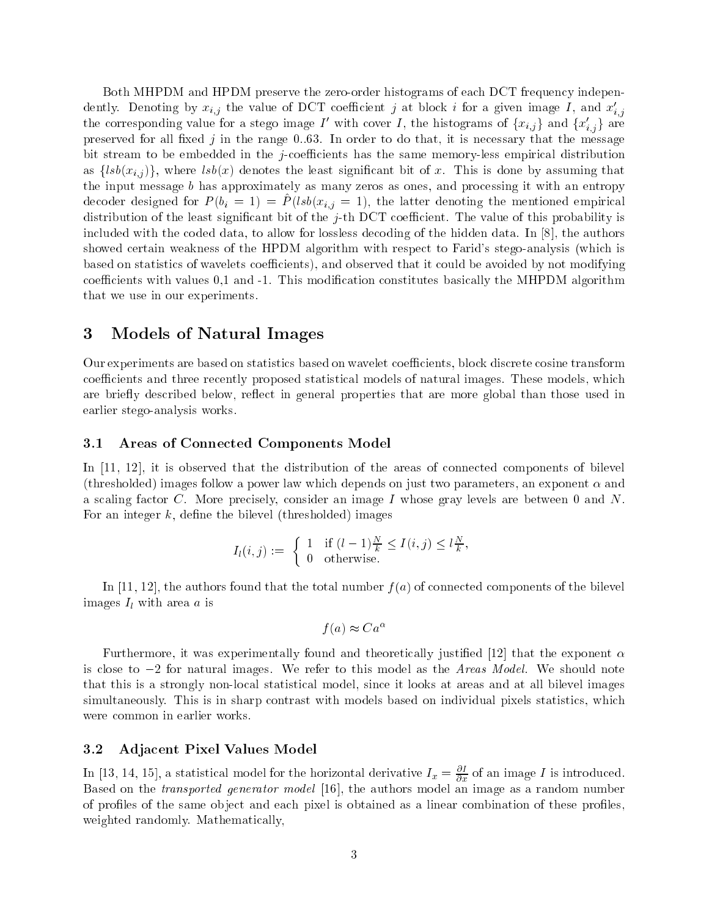Both MHPDM and HPDM preserve the zero-order histograms of each DCT frequency independently. Denoting by  $x_{i,j}$  the value of DCT coefficient j at block i for a given image I, and  $x'_{i,j}$ . . the corresponding value for a stego linage I with cover I, the histograms of  $\{x_{i,j}\}$  and  $\{x_{i,j}\}$  are preserved for all fixed  $j$  in the range 0.63. In order to do that, it is necessary that the message bit stream to be embedded in the *j*-coefficients has the same memory-less empirical distribution as  $\{lsb(x_{i,j})\}$ , where  $lsb(x)$  denotes the least significant bit of x. This is done by assuming that the input message  $b$  has approximately as many zeros as ones, and processing it with an entropy decoder designed for  $P(v_i = 1) = P(vov(x_{i,j} = 1),$  the latter denoting the mentioned empirical distribution of the least significant bit of the  $j$ -th DCT coefficient. The value of this probability is included with the coded data, to allow for lossless decoding of the hidden data. In [8], the authors showed certain weakness of the HPDM algorithm with respect to Farid's stego-analysis (which is based on statistics of wavelets coefficients), and observed that it could be avoided by not modifying coefficients with values 0,1 and -1. This modification constitutes basically the MHPDM algorithm that we use in our experiments.

#### Models of Natural Images 3

Our experiments are based on statistics based on wavelet coefficients, block discrete cosine transform coefficients and three recently proposed statistical models of natural images. These models, which are briefly described below, reflect in general properties that are more global than those used in earlier stego-analysis works.

## 3.1 Areas of Conne
ted Components Model

In  $[11, 12]$ , it is observed that the distribution of the areas of connected components of bilevel (thresholded) images follow a power law which depends on just two parameters, an exponent  $\alpha$  and a scaling factor C. More precisely, consider an image I whose gray levels are between 0 and N. For an integer  $k$ , define the bilevel (thresholded) images

$$
I_l(i,j) := \begin{cases} 1 & \text{if } (l-1)\frac{N}{k} \le I(i,j) \le l\frac{N}{k}, \\ 0 & \text{otherwise.} \end{cases}
$$

In [11, 12], the authors found that the total number  $f(a)$  of connected components of the bilevel images  $I_l$  with area a is

$$
f(a) \approx Ca^{\alpha}
$$

Furthermore, it was experimentally found and theoretically justified [12] that the exponent  $\alpha$ is close to  $-2$  for natural images. We refer to this model as the Areas Model. We should note that this is a strongly non-lo
al statisti
al model, sin
e it looks at areas and at all bilevel images simultaneously. This is in sharp contrast with models based on individual pixels statistics, which were ommon in earlier works.

## 3.2 Adja
ent Pixel Values Model

In [13, 14, 15], a statistical model for the horizontal derivative  $I_x=\frac{\partial}{\partial x}$  of an image  $I$  is introduced. Based on the *transported generator model* [16], the authors model an image as a random number of profiles of the same object and each pixel is obtained as a linear combination of these profiles. weighted randomly. Mathemati
ally,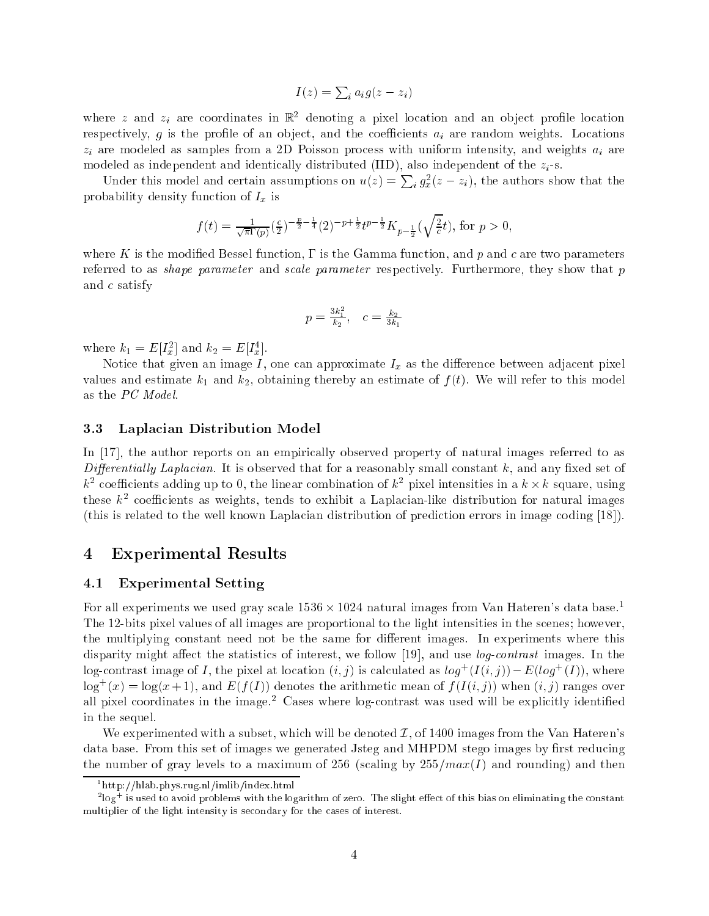$$
I(z) = \sum_i a_i g(z - z_i)
$$

where  $z$  and  $z_i$  are coordinates in  $\mathbb{R}^2$  denoting a pixel location and an object prome location respectively, g is the profile of an object, and the coefficients  $a_i$  are random weights. Locations  $z_i$  are modeled as samples from a 2D Poisson process with uniform intensity, and weights  $a_i$  are modeled as independent and identically distributed (IID), also independent of the  $z_i$ -s.

Under this model and certain assumptions on  $u(z) = \sum_i g_x^2(z - z_i)$ , the authors show that the probability density function of  $I_x$  is

$$
f(t) = \frac{1}{\sqrt{\pi}\Gamma(p)} \left(\frac{c}{2}\right)^{-\frac{p}{2}-\frac{1}{4}} (2)^{-p+\frac{1}{2}} t^{p-\frac{1}{2}} K_{p-\frac{1}{2}}(\sqrt{\frac{2}{c}}t), \text{ for } p > 0,
$$

where K is the modified Bessel function,  $\Gamma$  is the Gamma function, and p and c are two parameters referred to as *shape parameter* and *scale parameter* respectively. Furthermore, they show that p and  $c$  satisfy

$$
p = \frac{3k_1^2}{k_2}, \quad c = \frac{k_2}{3k_1}
$$

where  $\kappa_1 = E[I_{\bar{x}}]$  and  $\kappa_2 = E[I_{\bar{x}}]$ .

Notice that given an image  $I$ , one can approximate  $I_x$  as the difference between adjacent pixel values and estimate  $k_1$  and  $k_2$ , obtaining thereby an estimate of  $f(t)$ . We will refer to this model as the PC Model.

#### Laplacian Distribution Model 3.3

In  $[17]$ , the author reports on an empirically observed property of natural images referred to as Differentially Laplacian. It is observed that for a reasonably small constant  $k$ , and any fixed set of  $\kappa^-$  coemcients adding up to 0, the linear combination of  $\kappa^-$  pixel intensities in a  $\kappa \times \kappa$  square, using these  $\kappa^-$  coemcients as weights, tends to exhibit a Laplacian-like distribution for natural images (this is related to the well known Laplacian distribution of prediction errors in image coding  $[18]$ ).

# 4 Experimental Results

## 4.1 Experimental Setting

For all experiments we used gray scale  $1536 \times 1024$  natural images from Van Hateren's data base.<sup>1</sup> The 12-bits pixel values of all images are proportional to the light intensities in the s
enes; however, the multiplying constant need not be the same for different images. In experiments where this disparity might affect the statistics of interest, we follow [19], and use *log-contrast* images. In the  $\log$ -contrast image of I, the pixel at location  $(i, j)$  is calculated as  $\log^+(1(i, j)) = E(\log^+(1))$ , where  $\log^+(x) = \log(x+1)$ , and  $E(f(T))$  denotes the arithmetic mean of  $f(I(i, j))$  when  $(i, j)$  ranges over all pixel coordinates in the image.<sup>2</sup> Cases where  $log$ -contrast was used will be explicitly identified in the sequel.

We experimented with a subset, which will be denoted  $\mathcal{I}$ , of 1400 images from the Van Hateren's data base. From this set of images we generated Jsteg and MHPDM stego images by first reducing the number of gray levels to a maximum of 256 (scaling by  $255/max(I)$  and rounding) and then

<sup>1</sup> http://hlab.phys.rug.nl/imlib/index.html

<sup>-</sup>log+ is used to avoid problems with the logarithm of zero. The slight effect of this blas on eliminating the constant multiplier of the light intensity is secondary for the cases of interest.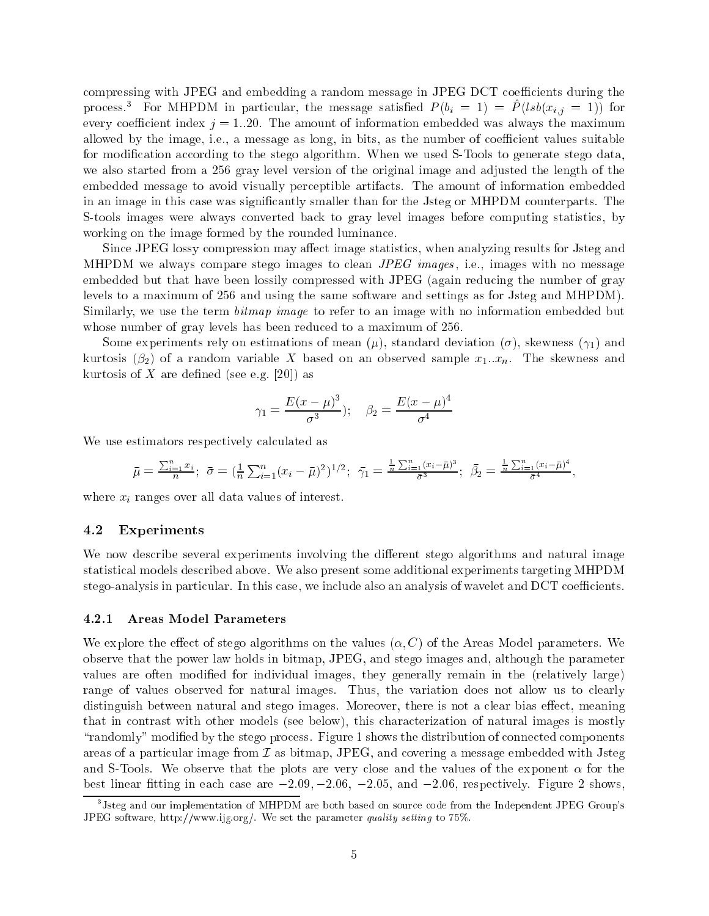compressing with JPEG and embedding a random message in JPEG DCT coefficients during the process.<sup>3</sup> For MHPDM in particular, the message satisfied  $P(b_i = 1) = \hat{P}(lsb(x_{i,j} = 1))$  for every coefficient index  $j = 1..20$ . The amount of information embedded was always the maximum allowed by the image, i.e., a message as long, in bits, as the number of coefficient values suitable for modification according to the stego algorithm. When we used S-Tools to generate stego data. we also started from a 256 gray level version of the original image and adjusted the length of the embedded message to avoid visually perceptible artifacts. The amount of information embedded in an image in this case was significantly smaller than for the Jsteg or MHPDM counterparts. The S-tools images were always converted back to gray level images before computing statistics, by working on the image formed by the rounded luminance.

Since JPEG lossy compression may affect image statistics, when analyzing results for Jsteg and MHPDM we always compare stego images to clean *JPEG images*, i.e., images with no message embedded but that have been lossily compressed with JPEG (again reducing the number of gray levels to a maximum of 256 and using the same software and settings as for Jsteg and MHPDM). Similarly, we use the term *bitmap image* to refer to an image with no information embedded but whose number of gray levels has been reduced to a maximum of 256.

Some experiments rely on estimations of mean  $(\mu)$ , standard deviation  $(\sigma)$ , skewness  $(\gamma_1)$  and kurtosis ( $\beta_2$ ) of a random variable X based on an observed sample  $x_1...x_n$ . The skewness and kurtosis of X are defined (see e.g. [20]) as

$$
\gamma_1 = \frac{E(x-\mu)^3}{\sigma^3}; \quad \beta_2 = \frac{E(x-\mu)^4}{\sigma^4}
$$

We use estimators respectively calculated as

$$
\bar{\mu} = \frac{\sum_{i=1}^{n} x_i}{n}; \ \bar{\sigma} = (\frac{1}{n} \sum_{i=1}^{n} (x_i - \bar{\mu})^2)^{1/2}; \ \bar{\gamma}_1 = \frac{\frac{1}{n} \sum_{i=1}^{n} (x_i - \bar{\mu})^3}{\bar{\sigma}^3}; \ \bar{\beta}_2 = \frac{\frac{1}{n} \sum_{i=1}^{n} (x_i - \bar{\mu})^4}{\bar{\sigma}^4}
$$

where  $x_i$  ranges over all data values of interest.

#### 4.2 Experiments

We now describe several experiments involving the different stego algorithms and natural image statistical models described above. We also present some additional experiments targeting MHPDM stego-analysis in particular. In this case, we include also an analysis of wavelet and DCT coefficients.

#### $4.2.1$ **Areas Model Parameters**

We explore the effect of stego algorithms on the values  $(\alpha, C)$  of the Areas Model parameters. We observe that the power law holds in bitmap, JPEG, and stego images and, although the parameter values are often modified for individual images, they generally remain in the (relatively large) range of values observed for natural images. Thus, the variation does not allow us to clearly distinguish between natural and stego images. Moreover, there is not a clear bias effect, meaning that in contrast with other models (see below), this characterization of natural images is mostly "randomly" modified by the stego process. Figure 1 shows the distribution of connected components areas of a particular image from  $\mathcal I$  as bitmap, JPEG, and covering a message embedded with Jsteg and S-Tools. We observe that the plots are very close and the values of the exponent  $\alpha$  for the best linear fitting in each case are  $-2.09, -2.06, -2.05,$  and  $-2.06$ , respectively. Figure 2 shows.

 $3$ Jsteg and our implementation of MHPDM are both based on source code from the Independent JPEG Group's JPEG software, http://www.ijg.org/. We set the parameter quality setting to 75%.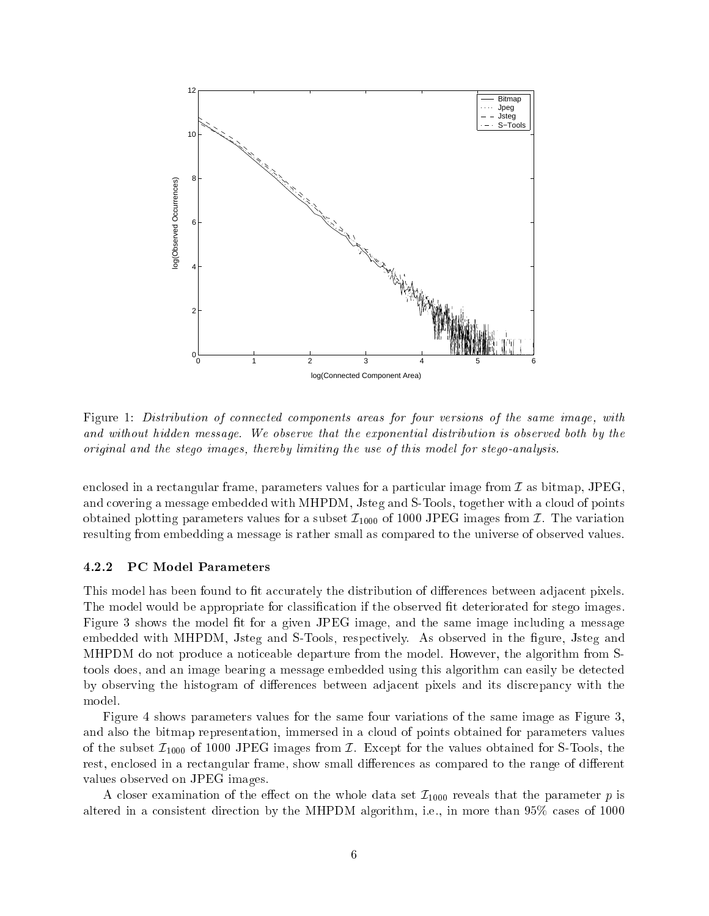

Figure 1: Distribution of connected components areas for four versions of the same image, with and without hidden message. We observe that the exponential distribution is observed both by the original and the stego images, thereby limiting the use of this model for stego-analysis.

enclosed in a rectangular frame, parameters values for a particular image from  $\mathcal I$  as bitmap, JPEG. and covering a message embedded with MHPDM, Jsteg and S-Tools, together with a cloud of points obtained plotting parameters values for a subset  $\mathcal{I}_{1000}$  of 1000 JPEG images from  $\mathcal{I}$ . The variation resulting from embedding a message is rather small as ompared to the universe of observed values.

### 4.2.2 PC Model Parameters

This model has been found to fit accurately the distribution of differences between adjacent pixels. The model would be appropriate for classification if the observed fit deteriorated for stego images. Figure 3 shows the model fit for a given JPEG image, and the same image including a message embedded with MHPDM, Jsteg and S-Tools, respectively. As observed in the figure, Jsteg and MHPDM do not produ
e a noti
eable departure from the model. However, the algorithm from Stools does, and an image bearing a message embedded using this algorithm an easily be dete
ted by observing the histogram of differences between adjacent pixels and its discrepancy with the model.

Figure 4 shows parameters values for the same four variations of the same image as Figure 3, and also the bitmap representation, immersed in a loud of points obtained for parameters values of the subset  $\mathcal{I}_{1000}$  of 1000 JPEG images from  $\mathcal{I}$ . Except for the values obtained for S-Tools, the rest, enclosed in a rectangular frame, show small differences as compared to the range of different values observed on JPEG images.

A closer examination of the effect on the whole data set  $\mathcal{I}_{1000}$  reveals that the parameter p is altered in a consistent direction by the MHPDM algorithm, i.e., in more than  $95\%$  cases of 1000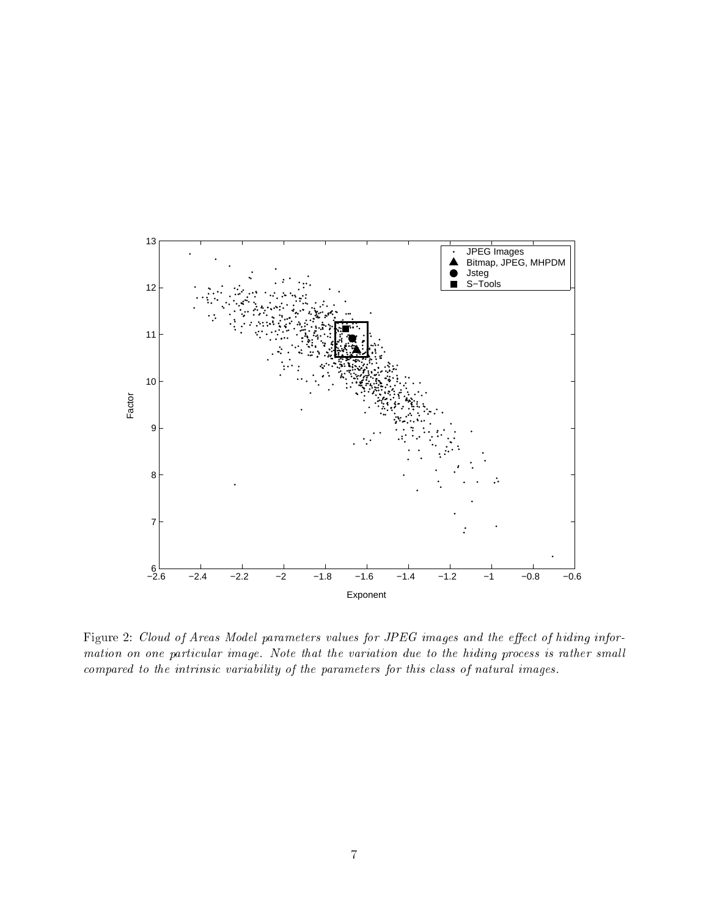

Figure 2: Cloud of Areas Model parameters values for JPEG images and the effect of hiding information on one particular image. Note that the variation due to the hiding process is rather small compared to the intrinsic variability of the parameters for this class of natural images.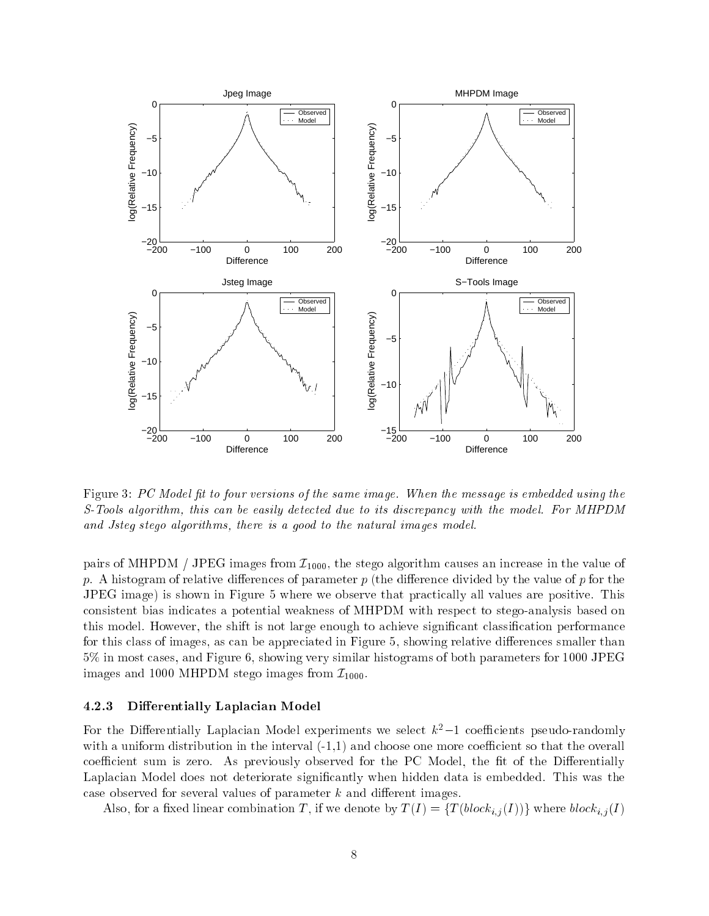

Figure 3: PC Model fit to four versions of the same image. When the message is embedded using the S-Tools algorithm, this can be easily detected due to its discrepancy with the model. For MHPDM and Jsteg stego algorithms, there is a good to the natural images model.

pairs of MHPDM / JPEG images from  $\mathcal{I}_{1000}$ , the stego algorithm causes an increase in the value of p. A histogram of relative differences of parameter  $p$  (the difference divided by the value of p for the JPEG image) is shown in Figure 5 where we observe that practically all values are positive. This consistent bias indicates a potential weakness of MHPDM with respect to stego-analysis based on this model. However, the shift is not large enough to achieve significant classification performance for this class of images, as can be appreciated in Figure 5, showing relative differences smaller than 5% in most ases, and Figure 6, showing very similar histograms of both parameters for 1000 JPEG images and 1000 MHPDM stego images from  $\mathcal{I}_{1000}$ .

## 4.2.3 Differentially Laplacian Model

For the Differentially Laplacian Model experiments we select  $k^2-1$  coefficients pseudo-randomly with a uniform distribution in the interval  $(-1,1)$  and choose one more coefficient so that the overall coefficient sum is zero. As previously observed for the PC Model, the fit of the Differentially Laplacian Model does not deteriorate significantly when hidden data is embedded. This was the case observed for several values of parameter  $k$  and different images.

Also, for a fixed linear combination T, if we denote by  $T(I) = {T(block_{i,j}(I))}$  where  $block_{i,j}(I)$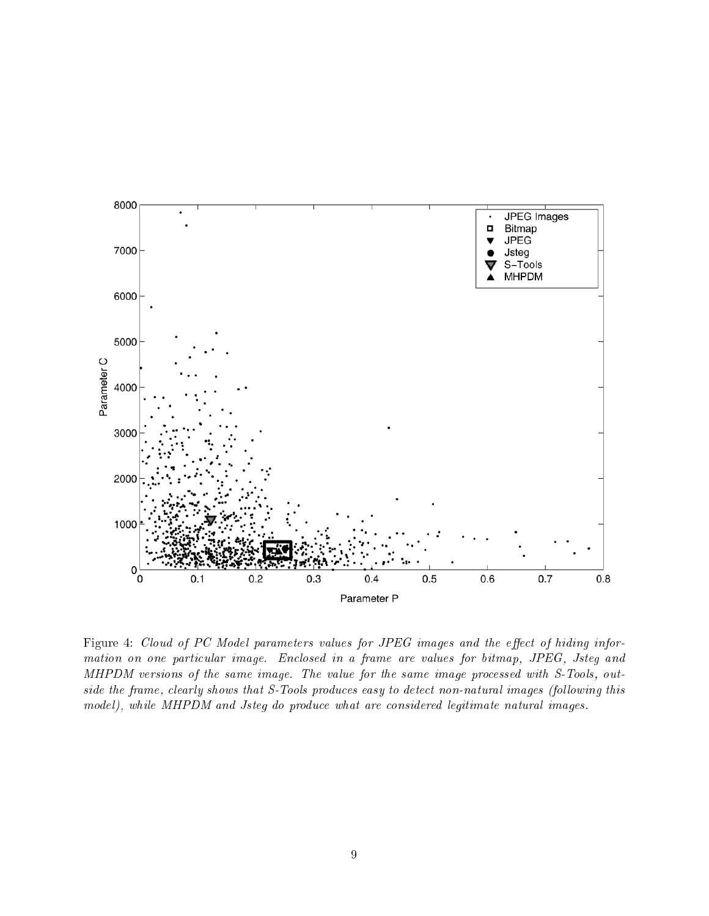

Figure 4: Cloud of PC Model parameters values for JPEG images and the effect of hiding information on one particular image. Enclosed in a frame are values for bitmap, JPEG, Jsteg and MHPDM versions of the same image. The value for the same image processed with S-Tools, outside the frame, clearly shows that S-Tools produces easy to detect non-natural images (following this model), while MHPDM and Jsteg do produce what are considered legitimate natural images.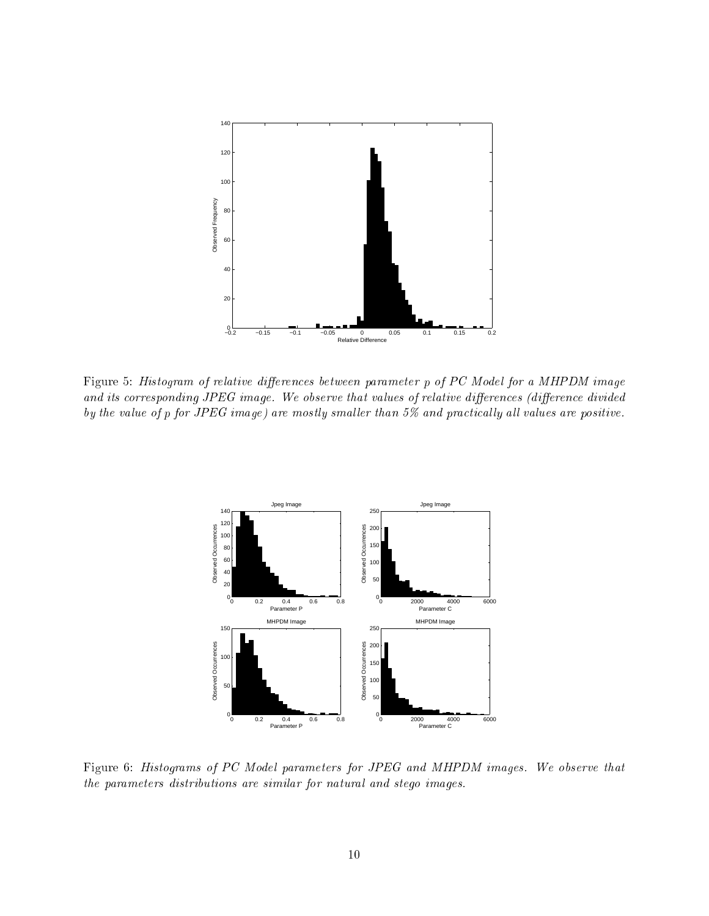

Figure 5: Histogram of relative differences between parameter p of PC Model for a MHPDM image and its corresponding JPEG image. We observe that values of relative differences (difference divided by the value of p for JPEG image) are mostly smaller than  $5\%$  and practically all values are positive.



Figure 6: Histograms of PC Model parameters for JPEG and MHPDM images. We observe that the parameters distributions are similar for natural and stego images.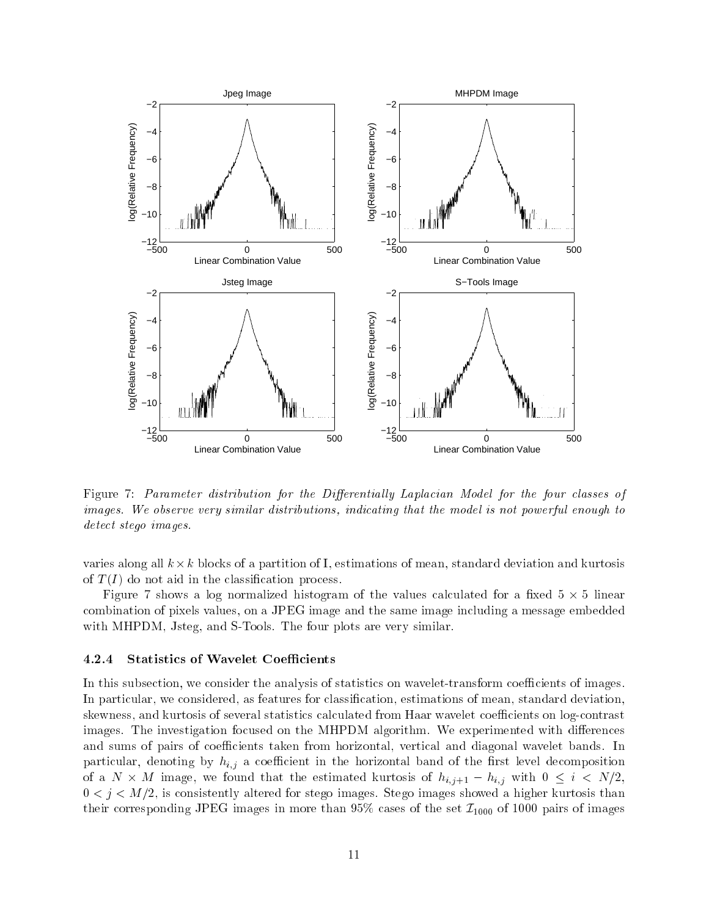

Figure 7: Parameter distribution for the Differentially Laplacian Model for the four classes of images. We observe very similar distributions, indicating that the model is not powerful enough to detect stego images.

varies along all k -k blo
ks of a partition of I, estimations of mean, standard deviation and kurtosis of  $T(I)$  do not aid in the classification process.

Figure 7 shows a log normalized histogram of the values al
ulated for a xed 5 - 5 linear ombination of pixels values, on a JPEG image and the same image in
luding a message embedded with MHPDM, Jsteg, and S-Tools. The four plots are very similar.

### 4.2.4 Statistics of Wavelet Coefficients

In this subsection, we consider the analysis of statistics on wavelet-transform coefficients of images. In particular, we considered, as features for classification, estimations of mean, standard deviation, skewness, and kurtosis of several statistics calculated from Haar wavelet coefficients on log-contrast images. The investigation focused on the MHPDM algorithm. We experimented with differences and sums of pairs of coefficients taken from horizontal, vertical and diagonal wavelet bands. In particular, denoting by  $h_{i,j}$  a coefficient in the horizontal band of the first level decomposition of a N - <sup>M</sup> image, we found that the estimated kurtosis of hi;j+1 hi;j with <sup>0</sup> <sup>i</sup> <sup>&</sup>lt; N=2,  $0 \lt j \lt M/2$ , is consistently altered for stego images. Stego images showed a higher kurtosis than their corresponding JPEG images in more than 95% cases of the set  $\mathcal{I}_{1000}$  of 1000 pairs of images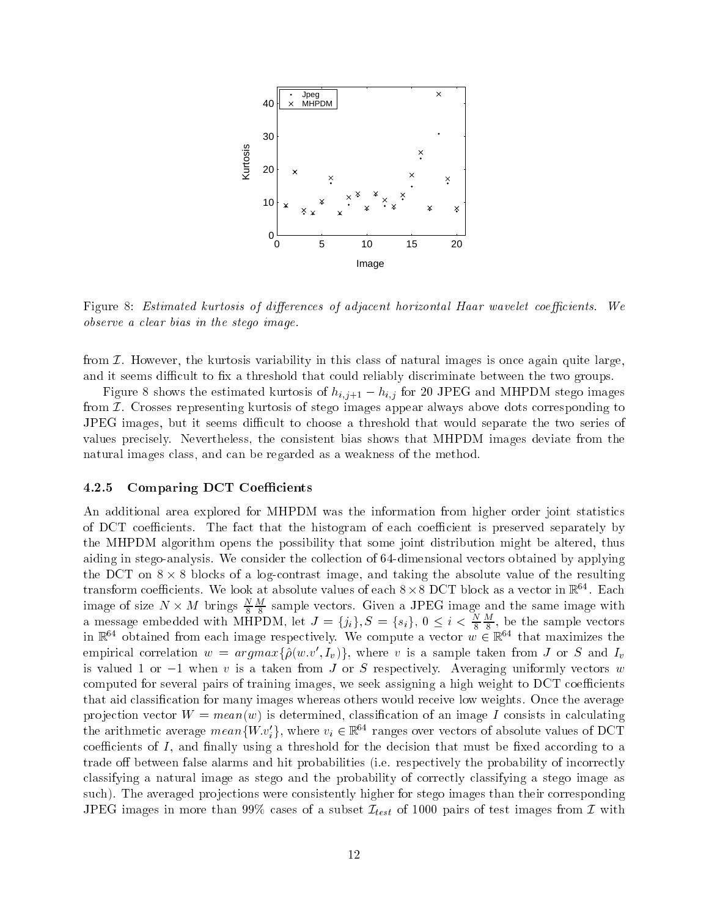

Figure 8: Estimated kurtosis of differences of adjacent horizontal Haar wavelet coefficients. We observe a clear bias in the stego image.

from  $\mathcal I$ . However, the kurtosis variability in this class of natural images is once again quite large, and it seems difficult to fix a threshold that could reliably discriminate between the two groups.

Figure 8 shows the estimated kurtosis of  $h_{i,j+1} - h_{i,j}$  for 20 JPEG and MHPDM stego images from  $I$ . Crosses representing kurtosis of stego images appear always above dots corresponding to JPEG images, but it seems difficult to choose a threshold that would separate the two series of values precisely. Nevertheless, the consistent bias shows that MHPDM images deviate from the natural images class, and can be regarded as a weakness of the method.

#### 4.2.5 **Comparing DCT Coefficients**

An additional area explored for MHPDM was the information from higher order joint statistics of DCT coefficients. The fact that the histogram of each coefficient is preserved separately by the MHPDM algorithm opens the possibility that some joint distribution might be altered, thus aiding in stego-analysis. We consider the collection of 64-dimensional vectors obtained by applying the DCT on  $8 \times 8$  blocks of a log-contrast image, and taking the absolute value of the resulting transform coefficients. We look at absolute values of each  $8 \times 8$  DCT block as a vector in  $\mathbb{R}^{64}$ . Each image of size  $N \times M$  brings  $\frac{N}{8} \frac{M}{8}$  sample vectors. Given a JPEG image and the same image with<br>a message embedded with MHPDM, let  $J = \{j_i\}, S = \{s_i\}, 0 \le i < \frac{N}{8} \frac{M}{8}$ , be the sample vectors<br>in  $\mathbb{R}^{64}$  obta empirical correlation  $w = argmax{\{\hat{\rho}(w.v', I_v)\}}$ , where v is a sample taken from J or S and  $I_v$ is valued 1 or  $-1$  when v is a taken from J or S respectively. Averaging uniformly vectors w computed for several pairs of training images, we seek assigning a high weight to DCT coefficients that aid classification for many images whereas others would receive low weights. Once the average projection vector  $W = \text{mean}(w)$  is determined, classification of an image I consists in calculating the arithmetic average mean $\{W.v_i'\}$ , where  $v_i \in \mathbb{R}^{64}$  ranges over vectors of absolute values of DCT coefficients of  $I$ , and finally using a threshold for the decision that must be fixed according to a trade off between false alarms and hit probabilities (i.e. respectively the probability of incorrectly classifying a natural image as stego and the probability of correctly classifying a stego image as such). The averaged projections were consistently higher for stego images than their corresponding JPEG images in more than 99% cases of a subset  $\mathcal{I}_{test}$  of 1000 pairs of test images from  $\mathcal I$  with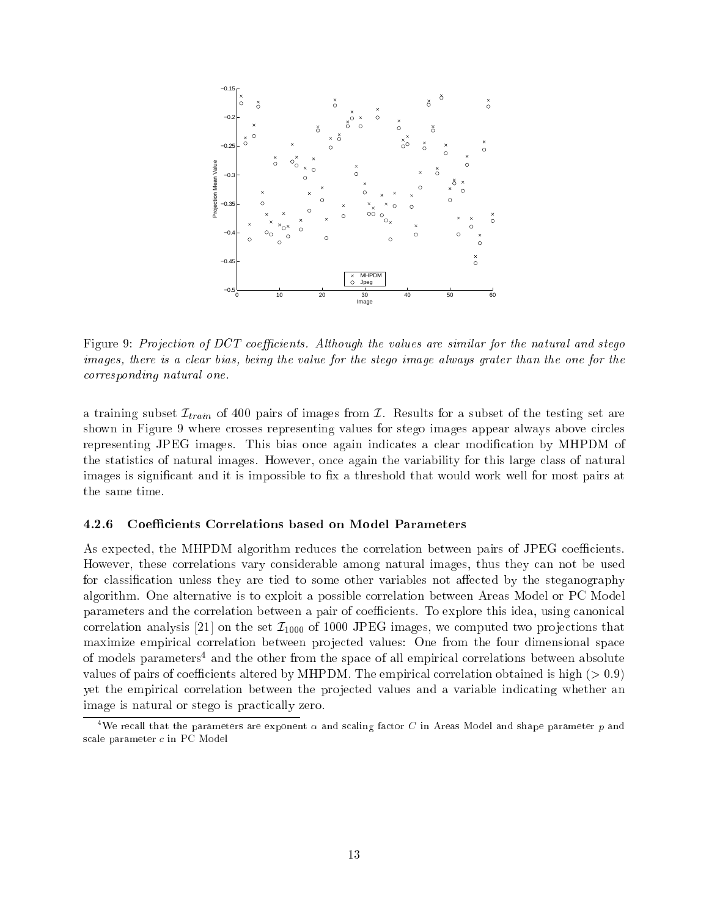

Figure 9: Projection of DCT coefficients. Although the values are similar for the natural and stege images, there is a clear bias, being the value for the stego image always grater than the one for the corresponding natural one.

a training subset  $\mathcal{I}_{train}$  of 400 pairs of images from  $\mathcal{I}$ . Results for a subset of the testing set are shown in Figure 9 where crosses representing values for stego images appear always above circles representing JPEG images. This bias once again indicates a clear modification by MHPDM of the statistics of natural images. However, once again the variability for this large class of natural images is significant and it is impossible to fix a threshold that would work well for most pairs at the same time.

#### 4.2.6 Coefficients Correlations based on Model Parameters

As expected, the MHPDM algorithm reduces the correlation between pairs of JPEG coefficients. However, these correlations vary considerable among natural images, thus they can not be used for classification unless they are tied to some other variables not affected by the steganography algorithm. One alternative is to exploit a possible correlation between Areas Model or PC Model parameters and the correlation between a pair of coefficients. To explore this idea, using canonical correlation analysis [21] on the set  $\mathcal{I}_{1000}$  of 1000 JPEG images, we computed two projections that maximize empirical correlation between projected values: One from the four dimensional space of models parameters<sup>4</sup> and the other from the space of all empirical correlations between absolute values of pairs of coefficients altered by MHPDM. The empirical correlation obtained is high ( $> 0.9$ ) yet the empirical correlation between the projected values and a variable indicating whether an image is natural or stego is practically zero.

<sup>&</sup>lt;sup>4</sup>We recall that the parameters are exponent  $\alpha$  and scaling factor C in Areas Model and shape parameter p and scale parameter c in PC Model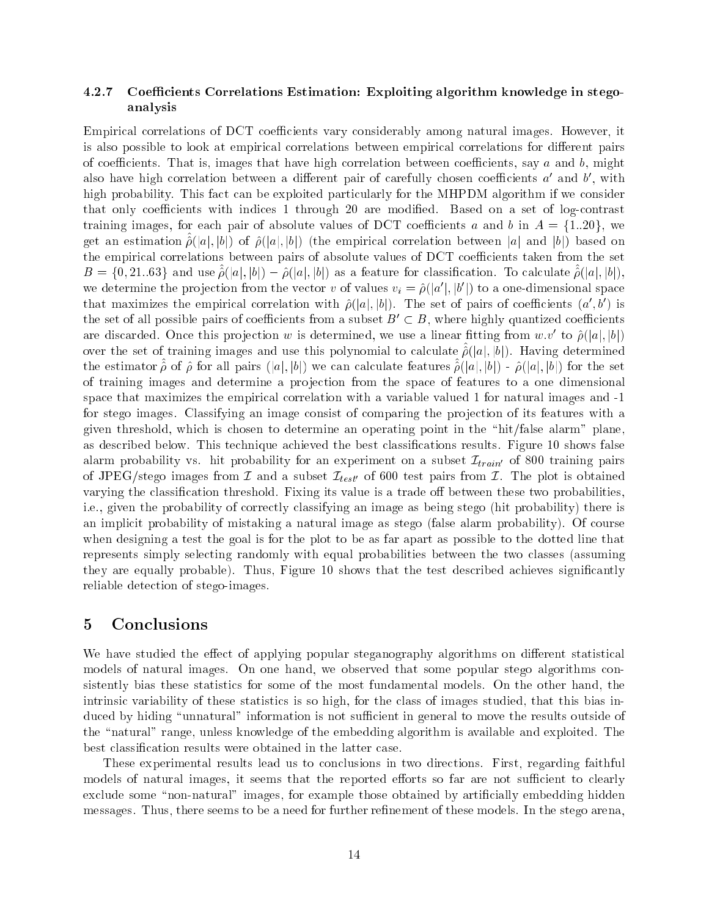#### 4.2.7 Coefficients Correlations Estimation: Exploiting algorithm knowledge in stegoanalysis

Empirical correlations of DCT coefficients vary considerably among natural images. However, it is also possible to look at empirical correlations between empirical correlations for different pairs of coefficients. That is, images that have high correlation between coefficients, say  $a$  and  $b$ , might also have high correlation between a different pair of carefully chosen coefficients  $a'$  and  $b'$ , with high probability. This fact can be exploited particularly for the MHPDM algorithm if we consider that only coefficients with indices 1 through 20 are modified. Based on a set of log-contrast training images, for each pair of absolute values of DCT coefficients a and b in  $A = \{1..20\}$ , we get an estimation  $\hat{\rho}(|a|, |b|)$  of  $\hat{\rho}(|a|, |b|)$  (the empirical correlation between |a| and |b|) based on the empirical correlations between pairs of absolute values of DCT coefficients taken from the set  $B = \{0, 21..63\}$  and use  $\hat{\rho}(|a|, |b|) - \hat{\rho}(|a|, |b|)$  as a feature for classification. To calculate  $\hat{\rho}(|a|, |b|)$ , we determine the projection from the vector v of values  $v_i = \hat{\rho}(|a'|, |b'|)$  to a one-dimensional space that maximizes the empirical correlation with  $\hat{\rho}(|a|,|b|)$ . The set of pairs of coefficients  $(a',b')$  is the set of all possible pairs of coefficients from a subset  $B' \subset B$ , where highly quantized coefficients are discarded. Once this projection w is determined, we use a linear fitting from  $w.v'$  to  $\hat{\rho}(|a|, |b|)$ over the set of training images and use this polynomial to calculate  $\hat{\rho}(|a|, |b|)$ . Having determined the estimator  $\hat{\rho}$  of  $\hat{\rho}$  for all pairs (|a|, |b|) we can calculate features  $\hat{\rho}(|a|,|b|)$  -  $\hat{\rho}(|a|,|b|)$  for the set of training images and determine a projection from the space of features to a one dimensional space that maximizes the empirical correlation with a variable valued 1 for natural images and -1 for stego images. Classifying an image consist of comparing the projection of its features with a given threshold, which is chosen to determine an operating point in the "hit/false alarm" plane. as described below. This technique achieved the best classifications results. Figure 10 shows false alarm probability vs. hit probability for an experiment on a subset  $\mathcal{I}_{train'}$  of 800 training pairs of JPEG/stego images from  $\mathcal I$  and a subset  $\mathcal I_{test'}$  of 600 test pairs from  $\mathcal I$ . The plot is obtained varying the classification threshold. Fixing its value is a trade off between these two probabilities, i.e., given the probability of correctly classifying an image as being stego (hit probability) there is an implicit probability of mistaking a natural image as stego (false alarm probability). Of course when designing a test the goal is for the plot to be as far apart as possible to the dotted line that represents simply selecting randomly with equal probabilities between the two classes (assuming they are equally probable). Thus, Figure 10 shows that the test described achieves significantly reliable detection of stego-images.

#### $\overline{5}$ Conclusions

We have studied the effect of applying popular steganography algorithms on different statistical models of natural images. On one hand, we observed that some popular stego algorithms consistently bias these statistics for some of the most fundamental models. On the other hand, the intrinsic variability of these statistics is so high, for the class of images studied, that this bias induced by hiding "unnatural" information is not sufficient in general to move the results outside of the "natural" range, unless knowledge of the embedding algorithm is available and exploited. The best classification results were obtained in the latter case.

These experimental results lead us to conclusions in two directions. First, regarding faithful models of natural images, it seems that the reported efforts so far are not sufficient to clearly exclude some "non-natural" images, for example those obtained by artificially embedding hidden messages. Thus, there seems to be a need for further refinement of these models. In the stego arena.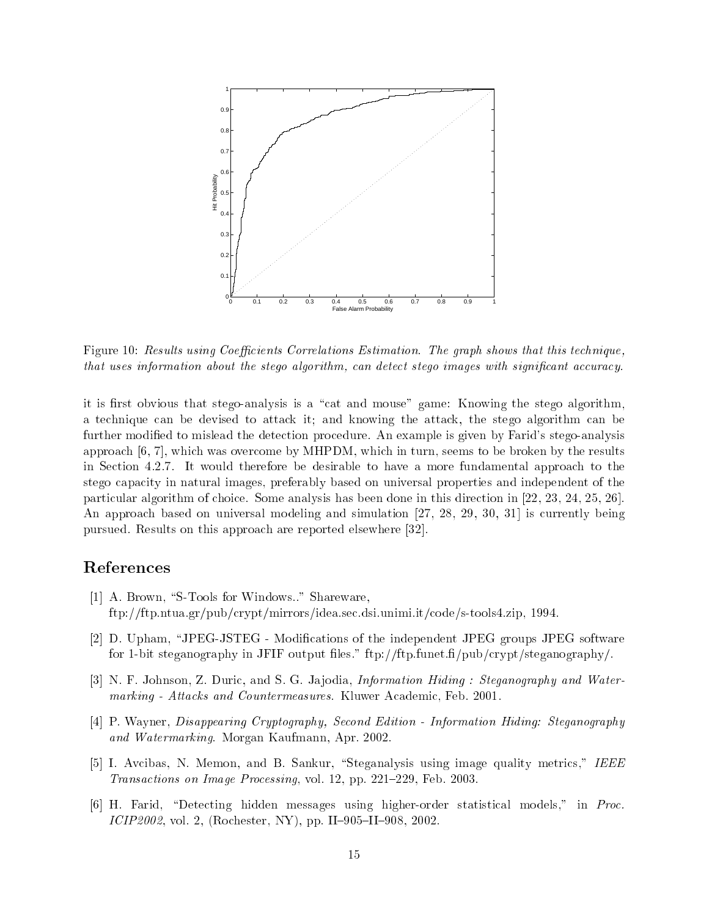

Figure 10: Results using Coefficients Correlations Estimation. The graph shows that this technique, that uses information about the stego algorithm, can detect stego images with significant accuracy.

it is first obvious that stego-analysis is a "cat and mouse" game: Knowing the stego algorithm. a technique can be devised to attack it; and knowing the attack, the stego algorithm can be further modified to mislead the detection procedure. An example is given by Farid's stego-analysis approach  $[6, 7]$ , which was overcome by MHPDM, which in turn, seems to be broken by the results in Section 4.2.7. It would therefore be desirable to have a more fundamental approach to the stego capacity in natural images, preferably based on universal properties and independent of the particular algorithm of choice. Some analysis has been done in this direction in  $[22, 23, 24, 25, 26]$ . An approach based on universal modeling and simulation [27, 28, 29, 30, 31] is currently being pursued. Results on this approach are reported elsewhere [32].

# References

- [1] A. Brown, "S-Tools for Windows.." Shareware,  $\frac{f(p)/f(p.ntua.gr/pub/crypt/mirrors/idea.sec.dsi.unimi.it/code/s-tools4.zip, 1994.$
- [2] D. Upham, "JPEG-JSTEG Modifications of the independent JPEG groups JPEG software for 1-bit steganography in JFIF output files." ftp://ftp.funet.fi/pub/crypt/steganography/.
- [3] N. F. Johnson, Z. Duric, and S. G. Jajodia, *Information Hiding : Steganography and Water*marking - Attacks and Countermeasures. Kluwer Academic, Feb. 2001.
- [4] P. Wayner, Disappearing Cryptography, Second Edition Information Hiding: Steganography and Watermarking. Morgan Kaufmann, Apr. 2002.
- [5] I. Avcibas, N. Memon, and B. Sankur, "Steganalysis using image quality metrics," IEEE *Transactions on Image Processing, vol. 12, pp. 221-229, Feb. 2003.*
- [6] H. Farid, "Detecting hidden messages using higher-order statistical models," in Proc. ICIP2002, vol. 2, (Rochester, NY), pp. II-905-II-908, 2002.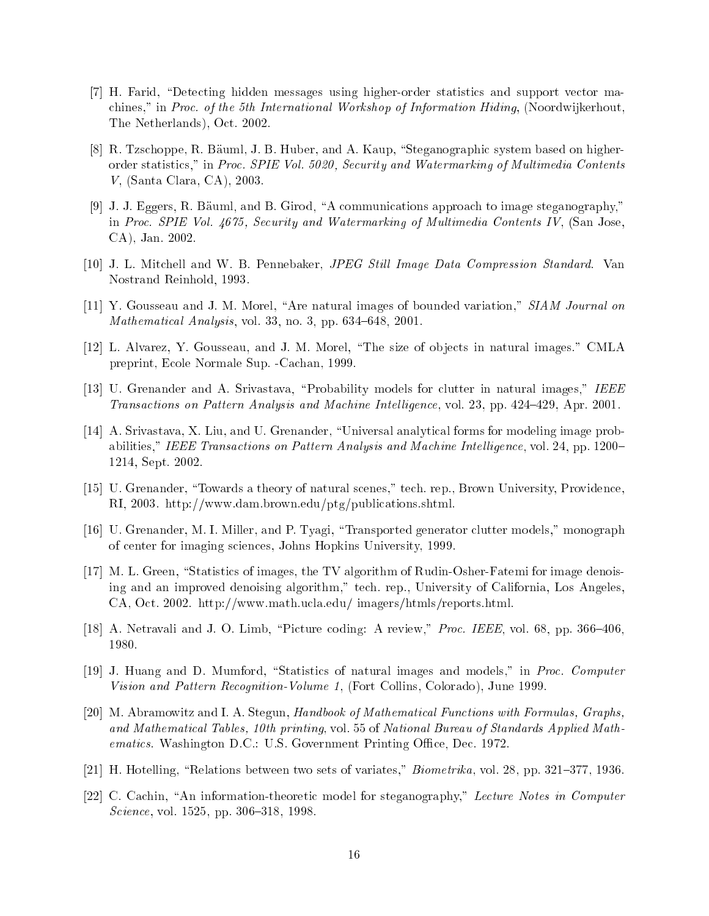- [7] H. Farid, "Detecting hidden messages using higher-order statistics and support vector machines," in Proc. of the 5th International Workshop of Information Hiding, (Noordwijkerhout, The Netherlands), O
t. 2002.
- [8] R. Tzschoppe, R. Bäuml, J. B. Huber, and A. Kaup, "Steganographic system based on higherorder statistics," in Proc. SPIE Vol. 5020, Security and Watermarking of Multimedia Contents V, (Santa Clara, CA), 2003.
- [9] J. J. Eggers, R. Bäuml, and B. Girod, "A communications approach to image steganography," in Pro
. SPIE Vol. 4675, Se
urity and Watermarking of Multimedia Contents IV, (San Jose, CA), Jan. 2002.
- [10] J. L. Mitchell and W. B. Pennebaker, *JPEG Still Image Data Compression Standard*. Van Nostrand Reinhold, 1993.
- [11] Y. Gousseau and J. M. Morel, "Are natural images of bounded variation," SIAM Journal on *Mathematical Analysis*, vol. 33, no. 3, pp.  $634–648$ ,  $2001$ .
- [12] L. Alvarez, Y. Gousseau, and J. M. Morel, "The size of objects in natural images." CMLA preprint, E
ole Normale Sup. -Ca
han, 1999.
- [13] U. Grenander and A. Srivastava, "Probability models for clutter in natural images," IEEE Transactions on Pattern Analysis and Machine Intelligence, vol. 23, pp. 424-429, Apr. 2001.
- [14] A. Srivastava, X. Liu, and U. Grenander, "Universal analytical forms for modeling image probabilities," IEEE Transactions on Pattern Analysis and Machine Intelligence, vol. 24, pp. 1200– 1214, Sept. 2002.
- [15] U. Grenander, "Towards a theory of natural scenes," tech. rep., Brown University, Providence, RI, 2003. http://www.dam.brown.edu/ptg/publi
ations.shtml.
- [16] U. Grenander, M. I. Miller, and P. Tyagi, "Transported generator clutter models," monograph of enter for imaging s
ien
es, Johns Hopkins University, 1999.
- [17] M. L. Green, "Statistics of images, the TV algorithm of Rudin-Osher-Fatemi for image denoising and an improved denoising algorithm," te
h. rep., University of California, Los Angeles, CA, Oct. 2002. http://www.math.ucla.edu/imagers/htmls/reports.html.
- [18] A. Netravali and J. O. Limb, "Picture coding: A review," Proc. IEEE, vol. 68, pp. 366-406, 1980.
- [19] J. Huang and D. Mumford, "Statistics of natural images and models," in Proc. Computer Vision and Pattern Re
ognition-Volume 1, (Fort Collins, Colorado), June 1999.
- [20] M. Abramowitz and I. A. Stegun, Handbook of Mathematical Functions with Formulas, Graphs, and Mathemati
al Tables, 10th printing, vol. 55 of National Bureau of Standards Applied Mathematics. Washington D.C.: U.S. Government Printing Office, Dec. 1972.
- [21] H. Hotelling, "Relations between two sets of variates,"  $Biometrica$ , vol. 28, pp. 321-377, 1936.
- [22] C. Cachin, "An information-theoretic model for steganography," Lecture Notes in Computer Science, vol. 1525, pp. 306-318, 1998.